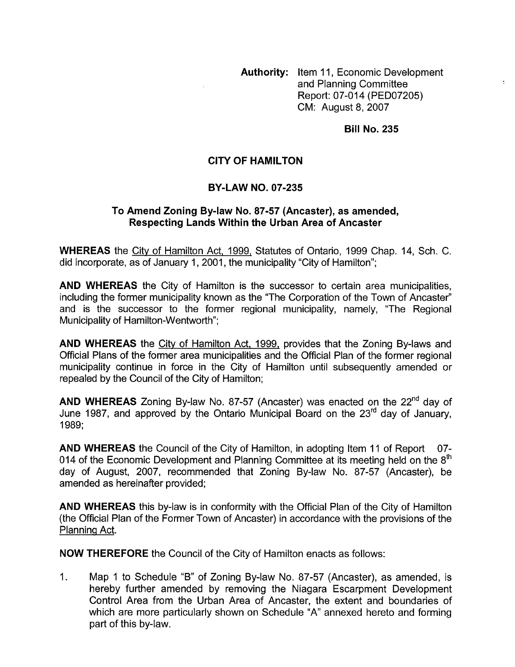**Authority:** Item 11, Economic Development and Planning Committee Report: 07-014 (PED07205) CM: August 8,2007

## **Bill No. 235**

## **CITY OF HAMILTON**

## **BY-LAW NO. 07-235**

## **To Amend Zoning By-law No. 87-57 (Ancaster), as amended, Respecting Lands Within the Urban Area of Ancaster**

**WHEREAS** the Citv of Hamilton Act, 1999, Statutes of Ontario, 1999 Chap. 14, Sch. C. did incorporate, as of January 1, 2001, the municipality "City of Hamilton";

**AND WHEREAS** the City of Hamilton is the successor to certain area municipalities, including the former municipality known as the "The Corporation of the Town of Ancaster" and is the successor to the former regional municipality, namely, "The Regional Municipality of Hamilton-Wentworth";

**AND WHEREAS** the City of Hamilton Act, 1999, provides that the Zoning By-laws and Official Plans of the former area municipalities and the Official Plan of the former regional municipality continue in force in the City of Hamilton until subsequently amended or repealed by the Council of the City of Hamilton;

**AND WHEREAS** Zoning By-law No. 87-57 (Ancaster) was enacted on the 22<sup>nd</sup> day of June 1987, and approved by the Ontario Municipal Board on the 23<sup>rd</sup> day of January. 1989;

**AND WHEREAS** the Council of the City of Hamilton, in adopting Item 11 of Report 07- 014 of the Economic Development and Planning Committee at its meeting held on the  $8<sup>th</sup>$ day of August, 2007, recommended that Zoning By-law No. 87-57 (Ancaster), be amended as hereinafter provided;

**AND WHEREAS** this by-law is in conformity with the Official Plan of the City of Hamilton (the Official Plan of the Former Town of Ancaster) in accordance with the provisions of the Planning Act.

**NOW THEREFORE** the Council of the City of Hamilton enacts as follows:

1. Map 1 to Schedule "B" of Zoning By-law No. 87-57 (Ancaster), as amended, is hereby further amended by removing the Niagara Escarpment Development Control Area from the Urban Area of Ancaster, the extent and boundaries of which are more particularly shown on Schedule "A" annexed hereto and forming part of this by-law.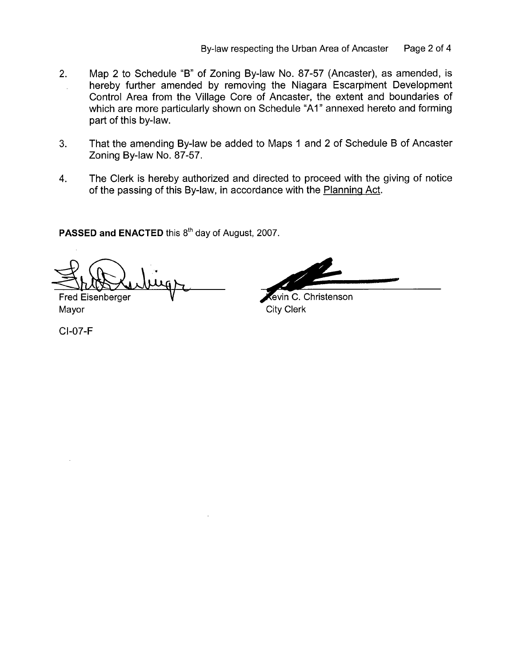- 2. Map 2 to Schedule "B" of Zoning By-law No. 87-57 (Ancaster), as amended, is hereby further amended by removing the Niagara Escarpment Development Control Area from the Village Core of Ancaster, the extent and boundaries of which are more particularly shown on Schedule "A1" annexed hereto and forming part of this by-law.
- **3.** That the amending By-law be added to Maps 1 and 2 of Schedule B of Ancaster Zoning By-law No. 87-57.
- **4.** The Clerk is hereby authorized and directed to proceed with the giving of notice of the passing of this By-law, in accordance with the Planning Act.

PASSED and ENACTED this 8<sup>th</sup> day of August, 2007.

**"X"** 

Fred Eisenberger **V-**Mayor City Clerk

CI-07-F

evin C. Christenson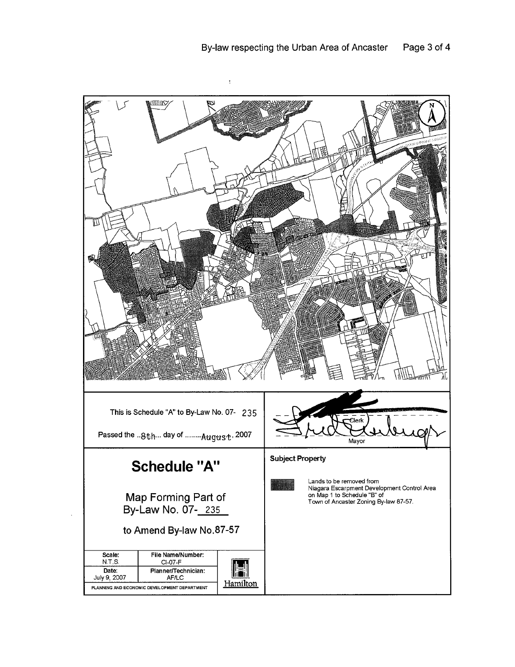